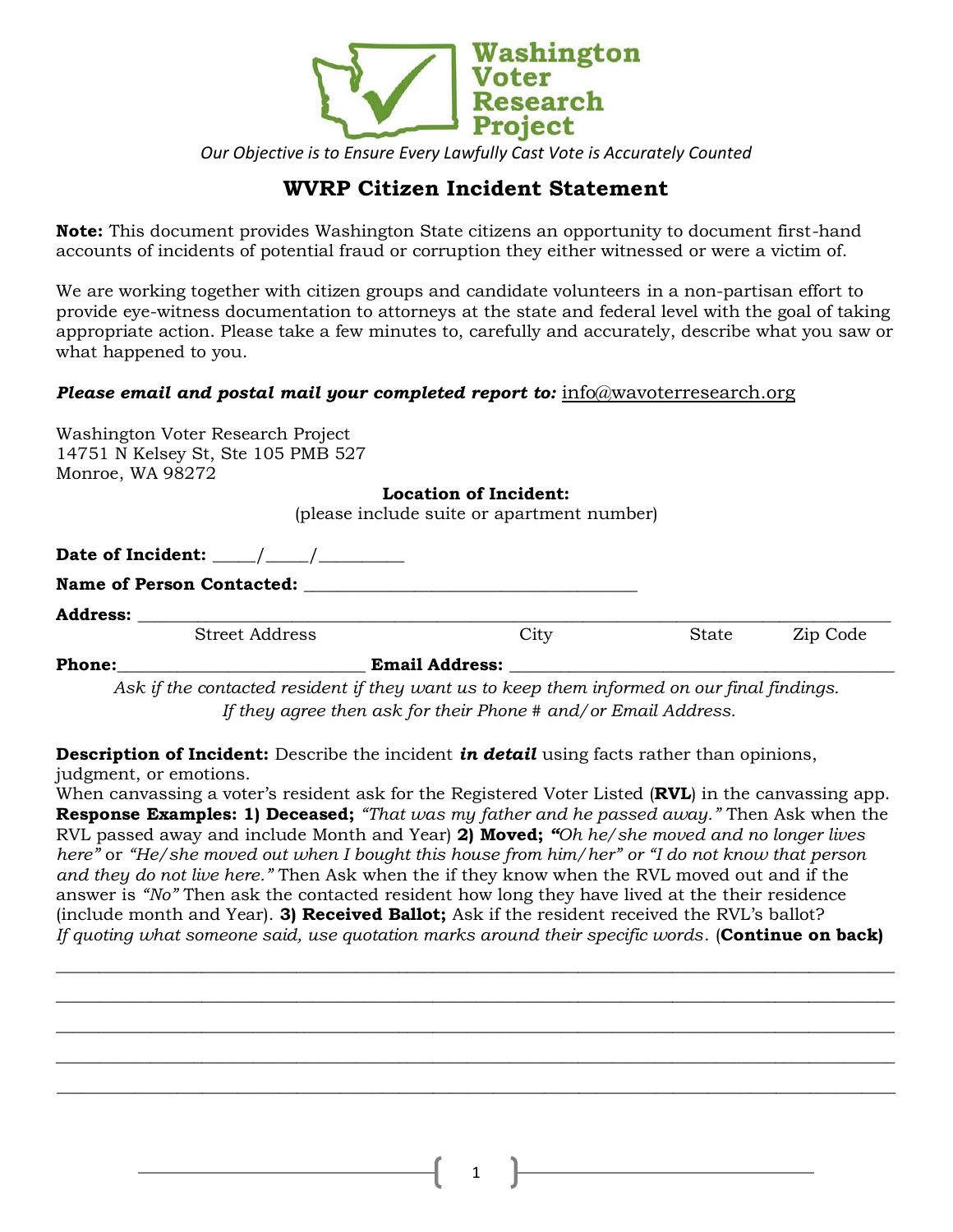

*Our Objective is to Ensure Every Lawfully Cast Vote is Accurately Counted*

## **WVRP Citizen Incident Statement**

**Note:** This document provides Washington State citizens an opportunity to document first-hand accounts of incidents of potential fraud or corruption they either witnessed or were a victim of.

We are working together with citizen groups and candidate volunteers in a non-partisan effort to provide eye-witness documentation to attorneys at the state and federal level with the goal of taking appropriate action. Please take a few minutes to, carefully and accurately, describe what you saw or what happened to you.

## *Please email and postal mail your completed report to:* [info@wavoterresearch.org](mailto:info@wavoterresearch.org)

| Washington Voter Research Project                                                                                                                                                                                              |                                            |              |          |
|--------------------------------------------------------------------------------------------------------------------------------------------------------------------------------------------------------------------------------|--------------------------------------------|--------------|----------|
| 14751 N Kelsey St, Ste 105 PMB 527                                                                                                                                                                                             |                                            |              |          |
| Monroe, WA 98272                                                                                                                                                                                                               |                                            |              |          |
|                                                                                                                                                                                                                                | Location of Incident:                      |              |          |
|                                                                                                                                                                                                                                | (please include suite or apartment number) |              |          |
|                                                                                                                                                                                                                                |                                            |              |          |
| Date of Incident: $\qquad \qquad / \qquad /$                                                                                                                                                                                   |                                            |              |          |
| <b>Name of Person Contacted:</b>                                                                                                                                                                                               |                                            |              |          |
| Address: the contract of the contract of the contract of the contract of the contract of the contract of the contract of the contract of the contract of the contract of the contract of the contract of the contract of the c |                                            |              |          |
| <b>Street Address</b>                                                                                                                                                                                                          | City                                       | <b>State</b> | Zip Code |
| Phone:                                                                                                                                                                                                                         | <b>Email Address:</b>                      |              |          |
| $\Lambda$ ok if the contacted regident if they want us to keep them informed on our final findings.                                                                                                                            |                                            |              |          |

*Ask if the contacted resident if they want us to keep them informed on our final findings. If they agree then ask for their Phone # and/or Email Address.* 

**Description of Incident:** Describe the incident *in detail* using facts rather than opinions, judgment, or emotions.

When canvassing a voter's resident ask for the Registered Voter Listed (**RVL**) in the canvassing app. **Response Examples: 1) Deceased;** *"That was my father and he passed away."* Then Ask when the RVL passed away and include Month and Year) **2) Moved;** *"Oh he/she moved and no longer lives here"* or *"He/she moved out when I bought this house from him/her" or "I do not know that person and they do not live here."* Then Ask when the if they know when the RVL moved out and if the answer is *"No"* Then ask the contacted resident how long they have lived at the their residence (include month and Year). **3) Received Ballot;** Ask if the resident received the RVL's ballot? *If quoting what someone said, use quotation marks around their specific words*. (**Continue on back)** 

 $\_$  , and the set of the set of the set of the set of the set of the set of the set of the set of the set of the set of the set of the set of the set of the set of the set of the set of the set of the set of the set of th \_\_\_\_\_\_\_\_\_\_\_\_\_\_\_\_\_\_\_\_\_\_\_\_\_\_\_\_\_\_\_\_\_\_\_\_\_\_\_\_\_\_\_\_\_\_\_\_\_\_\_\_\_\_\_\_\_\_\_\_\_\_\_\_\_\_\_\_\_\_\_\_\_\_\_\_\_\_\_\_\_\_\_\_\_\_\_\_\_\_\_\_\_\_\_\_\_\_  $\_$  , and the set of the set of the set of the set of the set of the set of the set of the set of the set of the set of the set of the set of the set of the set of the set of the set of the set of the set of the set of th  $\_$  , and the set of the set of the set of the set of the set of the set of the set of the set of the set of the set of the set of the set of the set of the set of the set of the set of the set of the set of the set of th  $\_$  , and the set of the set of the set of the set of the set of the set of the set of the set of the set of the set of the set of the set of the set of the set of the set of the set of the set of the set of the set of th

1